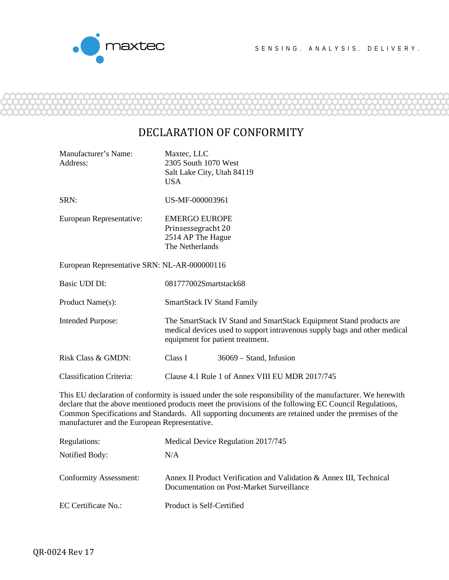

## DECLARATION OF CONFORMITY

| Manufacturer's Name:<br>Address:                                                                                                                                                                                                                                                                                                                                              | Maxtec, LLC<br>2305 South 1070 West<br>Salt Lake City, Utah 84119<br><b>USA</b>                                                                                                      |  |  |  |
|-------------------------------------------------------------------------------------------------------------------------------------------------------------------------------------------------------------------------------------------------------------------------------------------------------------------------------------------------------------------------------|--------------------------------------------------------------------------------------------------------------------------------------------------------------------------------------|--|--|--|
| SRN:                                                                                                                                                                                                                                                                                                                                                                          | US-MF-000003961                                                                                                                                                                      |  |  |  |
| European Representative:                                                                                                                                                                                                                                                                                                                                                      | <b>EMERGO EUROPE</b><br>Prinsessegracht 20<br>2514 AP The Hague<br>The Netherlands                                                                                                   |  |  |  |
| European Representative SRN: NL-AR-000000116                                                                                                                                                                                                                                                                                                                                  |                                                                                                                                                                                      |  |  |  |
| Basic UDI DI:                                                                                                                                                                                                                                                                                                                                                                 | 081777002Smartstack68                                                                                                                                                                |  |  |  |
| Product Name(s):                                                                                                                                                                                                                                                                                                                                                              | <b>SmartStack IV Stand Family</b>                                                                                                                                                    |  |  |  |
| <b>Intended Purpose:</b>                                                                                                                                                                                                                                                                                                                                                      | The SmartStack IV Stand and SmartStack Equipment Stand products are<br>medical devices used to support intravenous supply bags and other medical<br>equipment for patient treatment. |  |  |  |
| Risk Class & GMDN:                                                                                                                                                                                                                                                                                                                                                            | Class I<br>$36069$ – Stand, Infusion                                                                                                                                                 |  |  |  |
| <b>Classification Criteria:</b>                                                                                                                                                                                                                                                                                                                                               | Clause 4.1 Rule 1 of Annex VIII EU MDR 2017/745                                                                                                                                      |  |  |  |
| This EU declaration of conformity is issued under the sole responsibility of the manufacturer. We herewith<br>declare that the above mentioned products meet the provisions of the following EC Council Regulations,<br>Common Specifications and Standards. All supporting documents are retained under the premises of the<br>manufacturer and the European Representative. |                                                                                                                                                                                      |  |  |  |

| Regulations:                  | Medical Device Regulation 2017/745                                                                               |  |  |
|-------------------------------|------------------------------------------------------------------------------------------------------------------|--|--|
| Notified Body:                | N/A                                                                                                              |  |  |
| <b>Conformity Assessment:</b> | Annex II Product Verification and Validation & Annex III, Technical<br>Documentation on Post-Market Surveillance |  |  |
| EC Certificate No.:           | Product is Self-Certified                                                                                        |  |  |